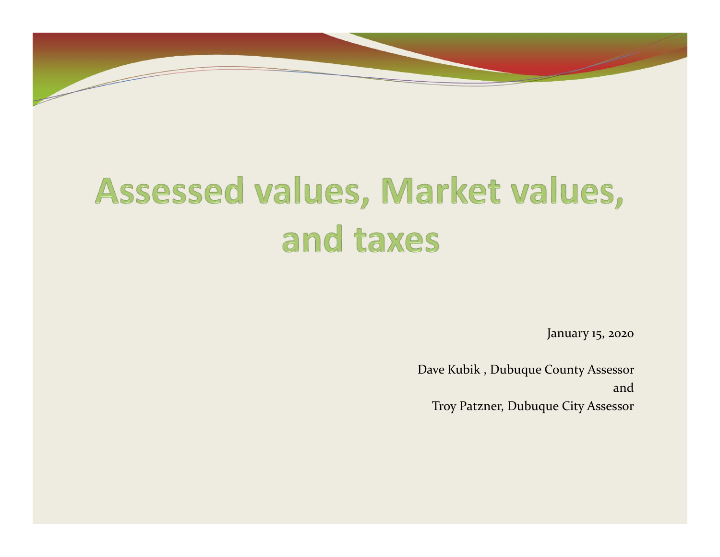

# Assessed values, Market values, and taxes

January 15, <sup>2020</sup>

Dave Kubik , Dubuque County Assessor andTroy Patzner, Dubuque City Assessor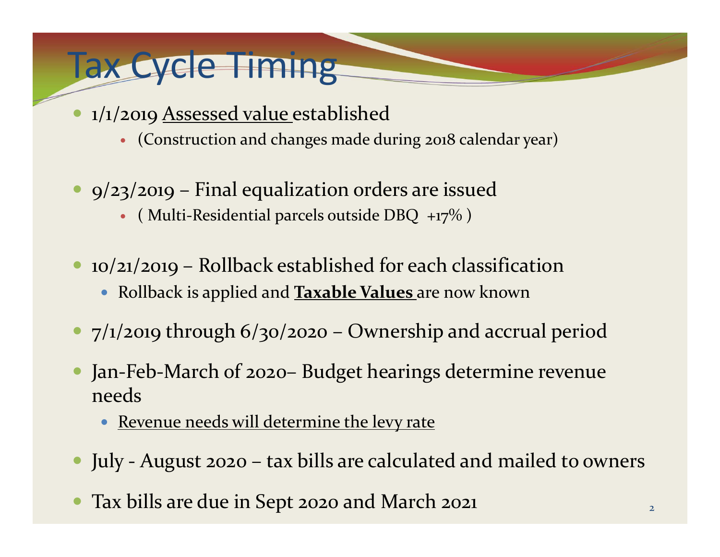## Tax Cycle Timing

- $\bullet$  1/1/2019 Assessed value established
	- (Construction and changes made during <sup>2018</sup> calendar year)
- 9/23/2019 Final equalization orders are issued
	- ( Multi-Residential parcels outside DBQ  $+17\%$  )
- 10/21/2019 Rollback established for each classification
	- Rollback is applied and **Taxable Values** are now known
- 7/1/2019 through 6/30/2020 Ownership and accrual period
- $\bullet$  Jan ‐Feb ‐March of 2020– Budget hearings determine revenue needs
	- $\bullet$ Revenue needs will determine the levy rate
- July ‐ August <sup>2020</sup> tax bills are calculated and mailed to owners
- $\bullet$ Tax bills are due in Sept <sup>2020</sup> and March <sup>2021</sup>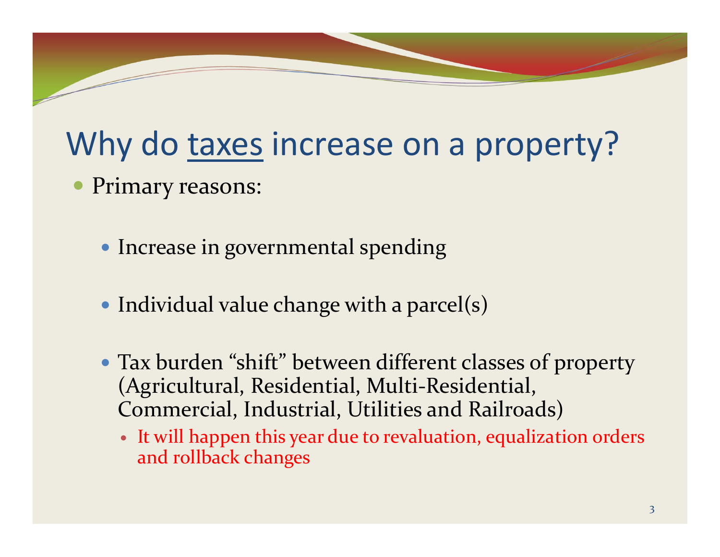# Why do taxes increase on a property?

- $\bullet$  Primary reasons:
	- Increase in governmental spending
	- Individual value change with a parcel(s)
	- Tax burden "shift" between different classes of property (Agricultural, Residential, Multi ‐Residential, Commercial, Industrial, Utilities and Railroads)
		- It will happen this year due to revaluation, equalization orders and rollback changes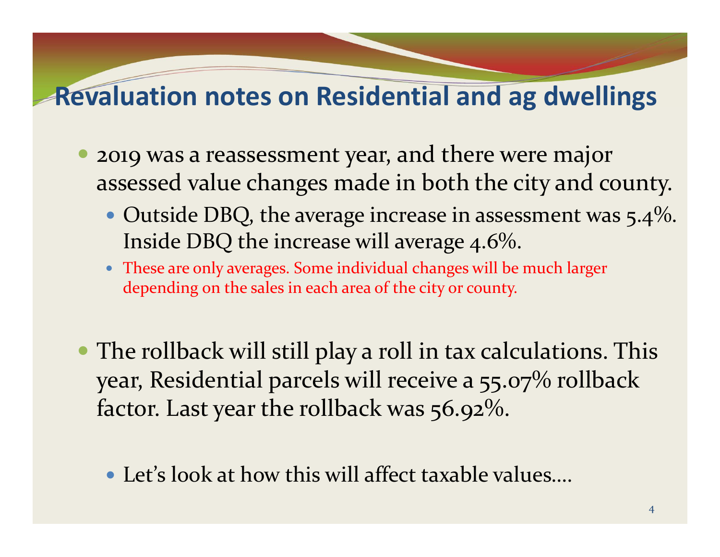#### **Revaluation notes on Residential and ag dwellings**

- $\bullet$  2019 was a reassessment year, and there were major assessed value changes made in both the city and county.
	- $\bullet$  Outside DBQ, the average increase in assessment was 5.4%. Inside DBQ the increase will average 4.6%.
	- These are only averages. Some individual changes will be much larger depending on the sales in each area of the city or county.
- The rollback will still play a roll in tax calculations. This year, Residential parcels will receive a 55.07% rollback factor. Last year the rollback was 56.92%.
	- Let's look at how this will affect taxable values….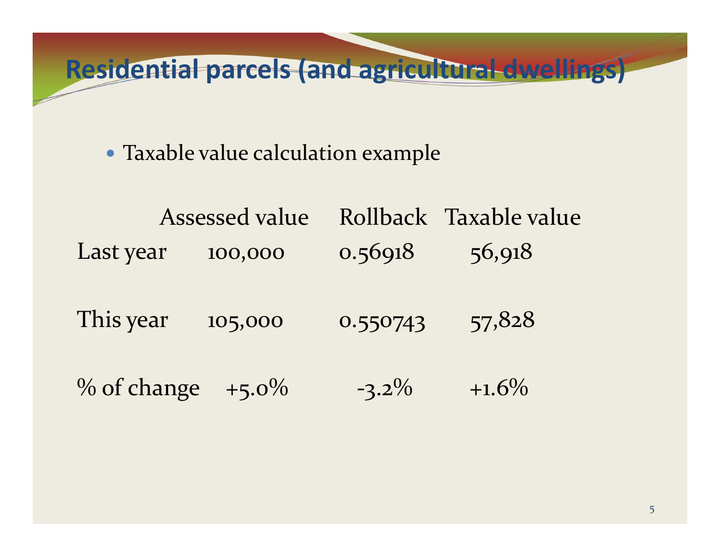**Residential parcels (and agricultural dwellings)**

Taxable value calculation example

| Assessed value          |         |          | Rollback Taxable value |
|-------------------------|---------|----------|------------------------|
| Last year               | 100,000 | 0.56918  | 56,918                 |
| This year               | 105,000 | 0.550743 | 57,828                 |
| $\%$ of change $+5.0\%$ |         | $-3.2\%$ | $+1.6\%$               |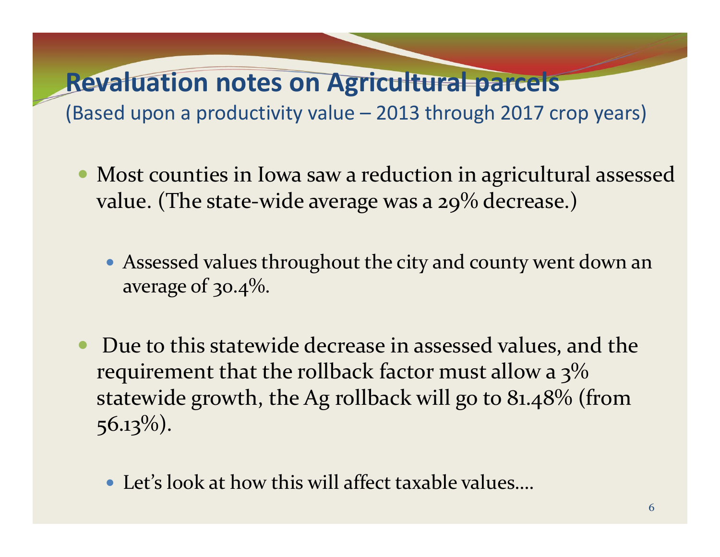#### **Revaluation notes on Agricultural parcels**

(Based upon a productivity value – 2013 through 2017 crop years)

- $\bullet$  Most counties in Iowa saw a reduction in agricultural assessed value. (The state ‐wide average was a 29% decrease.)
	- Assessed values throughout the city and county went down an average of 30.4%.
- $\bullet$  Due to this statewide decrease in assessed values, and the requirement that the rollback factor must allow a 3%  $\,$ statewide growth, the Ag rollback will go to 81.48% (from <sup>5</sup>6.13%).
	- Let's look at how this will affect taxable values….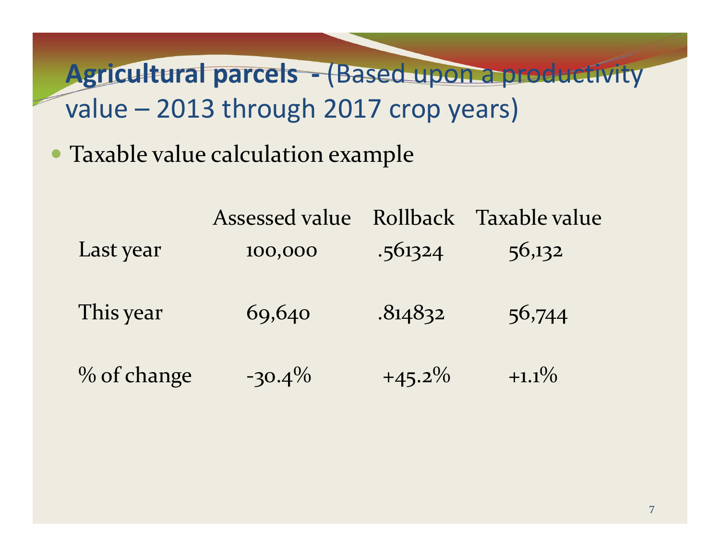**Agricultural parcels ‐** (Based upon a productivity value – 2013 through 2017 crop years)

Taxable value calculation example

|             | Assessed value | <b>Rollback</b> | Taxable value |
|-------------|----------------|-----------------|---------------|
| Last year   | 100,000        | .561324         | 56,132        |
| This year   | 69,640         | .814832         | 56,744        |
| % of change | $-30.4\%$      | $+45.2\%$       | $+1.1\%$      |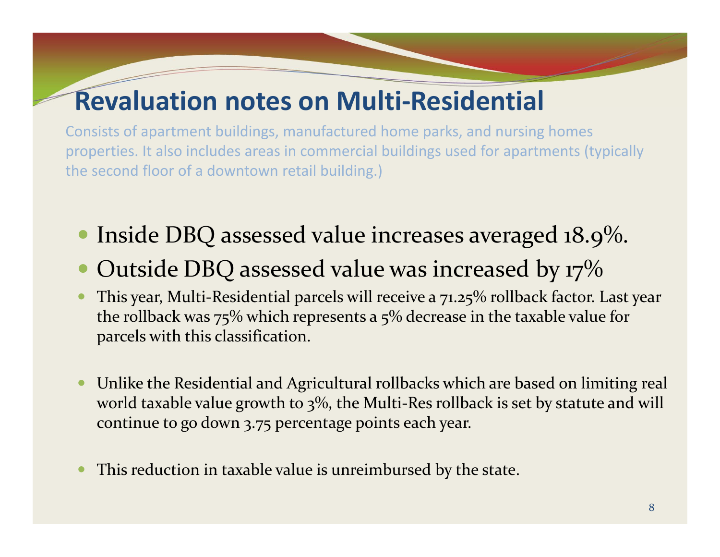#### **Revaluation notes on Multi‐Residential**

Consists of apartment buildings, manufactured home parks, and nursing homes properties. It also includes areas in commercial buildings used for apartments (typically the second floor of a downtown retail building.)

- $\bullet$ Inside DBQ assessed value increases averaged 18.9%.
- $\bullet$ Outside DBQ assessed value was increased by 17%
- 0 • This year, Multi-Residential parcels will receive a 71.25% rollback factor. Last year the rollback was 75% which represents a 5% decrease in the taxable value for parcels with this classification.
- 0 Unlike the Residential and Agricultural rollbacks which are based on limiting real world taxable value growth to 3%, the Multi ‐Res rollback is set by statute and will continue to go down 3.75 percentage points each year.
- 0 This reduction in taxable value is unreimbursed by the state.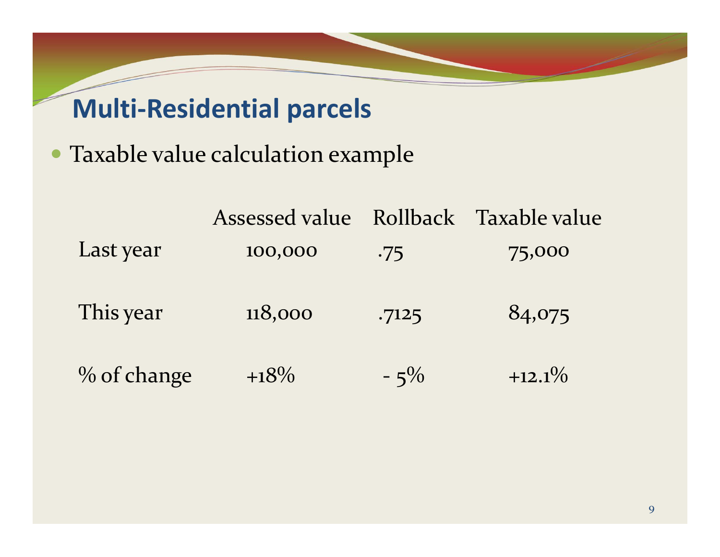### **Multi‐Residential parcels**

Taxable value calculation example

|             | Assessed value |        | Rollback Taxable value |
|-------------|----------------|--------|------------------------|
| Last year   | 100,000        | .75    | 75,000                 |
| This year   | 118,000        | .7125  | 84,075                 |
| % of change | $+18\%$        | $-5\%$ | $+12.1\%$              |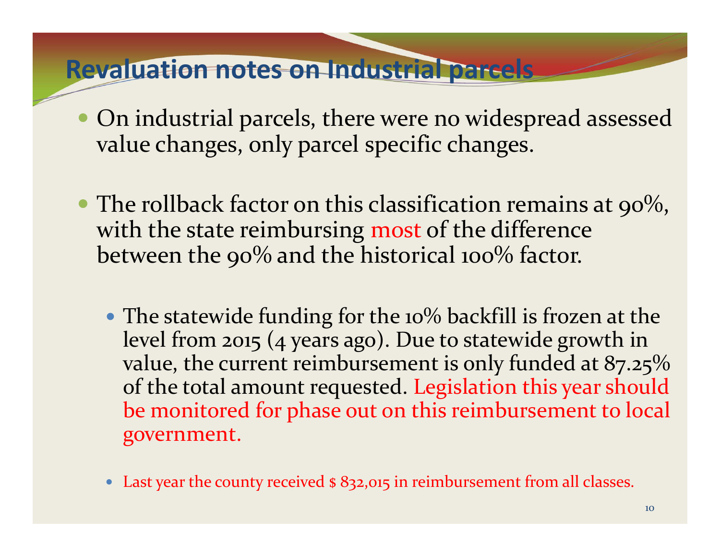#### **Revaluation notes on Industrial parcels**

- $\bullet$  On industrial parcels, there were no widespread assessed value changes, only parcel specific changes.
- $\bullet$  The rollback factor on this classification remains at 90%, with the state reimbursing most of the difference between the 90% and the historical 100% factor.
	- The statewide funding for the 10% backfill is frozen at the level from <sup>2015</sup> (4 years ago). Due to statewide growth in value, the current reimbursement is only funded at 87.25% of the total amount requested. Legislation this year should be monitored for phase out on this reimbursement to local government.
	- Last year the county received \$ 832,015 in reimbursement from all classes.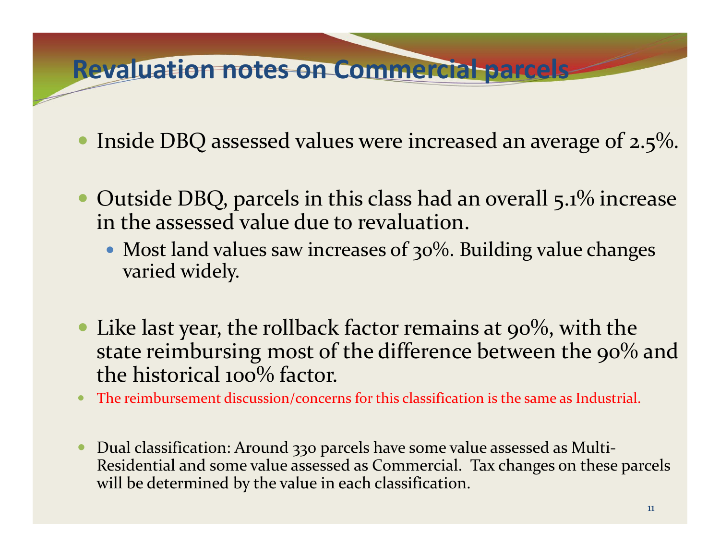#### **Revaluation notes on Commercial parcels**

- $\bullet$ Inside DBQ assessed values were increased an average of 2.5%.
- $\bullet$  Outside DBQ, parcels in this class had an overall 5.1% increase in the assessed value due to revaluation.
	- Most land values saw increases of 30%. Building value changes varied widely.
- $\bullet$ Like last year, the rollback factor remains at 90%, with the state reimbursing most of the difference between the 90% and the historical 100% factor.
- $\bullet$ The reimbursement discussion/concerns for this classification is the same as Industrial.
- 0 Dual classification: Around 330 parcels have some value assessed as Multi ‐ Residential and some value assessed as Commercial. Tax changes on these parcels will be determined by the value in each classification.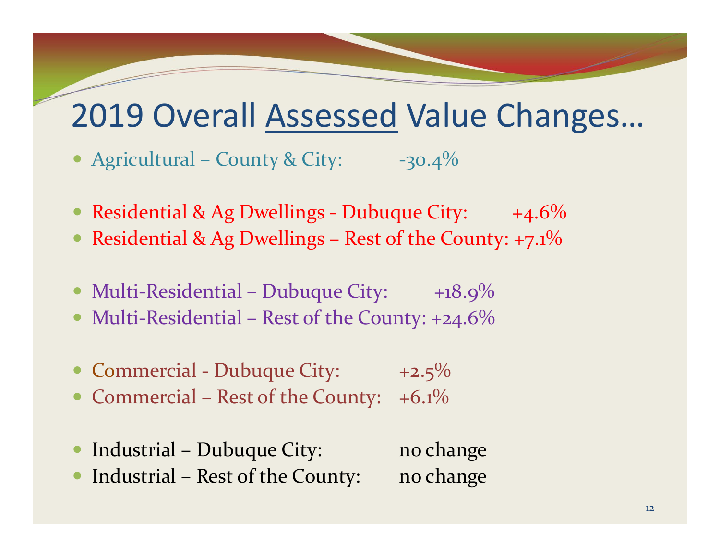## 2019 Overall Assessed Value Changes…

- Agricultural County & City:  $-30.4\%$
- Residential & Ag Dwellings Dubuque City: +4.6%
- Residential & Ag Dwellings Rest of the County: +7.1%
- Multi-Residential Dubuque City: +18.9%
- $\bullet$ • Multi-Residential – Rest of the County: +24.6%
- Commercial Dubuque City: +2.5%
- Commercial Rest of the County: +6.1%
- $\bullet$ Industrial – Dubuque City: no change
- $\bullet$ Industrial – Rest of the County: no change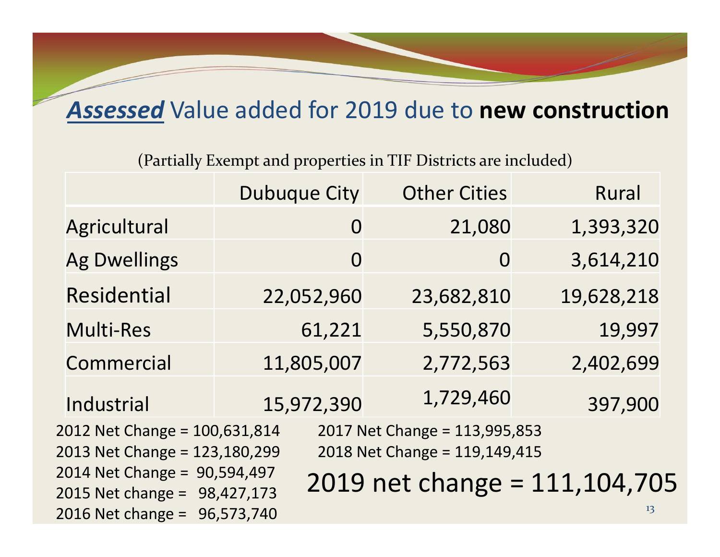#### *Assessed* Value added for 2019 due to **new construction**

(Partially Exempt and properties in TIF Districts are included)

|                                                                                                                                  | (Partially Exempt and properties in TIF Districts are included) |                     |              |  |  |
|----------------------------------------------------------------------------------------------------------------------------------|-----------------------------------------------------------------|---------------------|--------------|--|--|
|                                                                                                                                  | <b>Dubuque City</b>                                             | <b>Other Cities</b> | <b>Rural</b> |  |  |
| Agricultural                                                                                                                     | $\overline{0}$                                                  | 21,080              | 1,393,320    |  |  |
| <b>Ag Dwellings</b>                                                                                                              | $\overline{0}$                                                  | $\overline{0}$      | 3,614,210    |  |  |
| <b>Residential</b>                                                                                                               | 22,052,960                                                      | 23,682,810          | 19,628,218   |  |  |
| Multi-Res                                                                                                                        | 61,221                                                          | 5,550,870           | 19,997       |  |  |
| Commercial                                                                                                                       | 11,805,007                                                      | 2,772,563           | 2,402,699    |  |  |
| Industrial                                                                                                                       | 15,972,390                                                      | 1,729,460           | 397,900      |  |  |
| 2012 Net Change = 100,631,814<br>2017 Net Change = 113,995,853<br>2018 Net Change = 119,149,415<br>2013 Net Change = 123,180,299 |                                                                 |                     |              |  |  |
| 2014 Net Change = 90,594,497<br>2019 net change = 111,104,705<br>2015 Net change = 98,427,173                                    |                                                                 |                     |              |  |  |
| 2016 Net change = 96,573,740                                                                                                     |                                                                 |                     | 13           |  |  |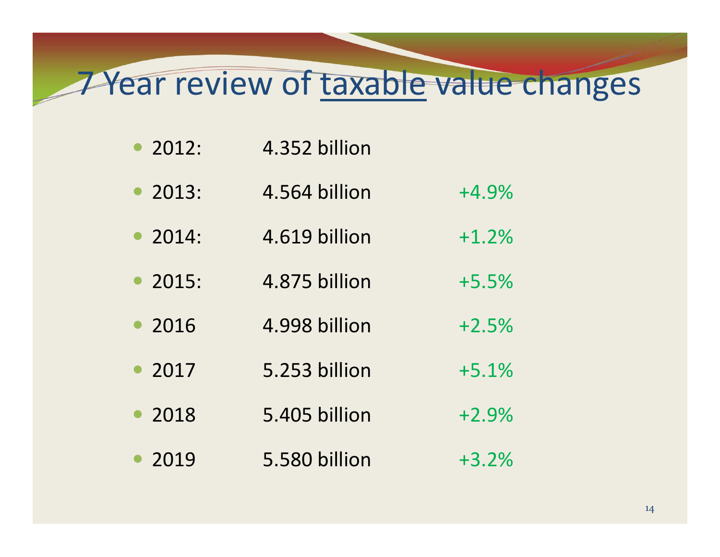## 7 Year review of taxable value changes

- $2012:$ 4.352 billion
- 2013: 2013: 4.564 billion +4.9%
- $\bullet$  2014: 2014: 4.619 billion +1.2%
- 2015: 2015: 4.875 billion +5.5%
- 2016 4.998 billion +2.5%
- 2017 2017 5.253 billion +5.1%
- 2018 2018 5.405 billion +2.9% • 2019 5.580 billion +3.2%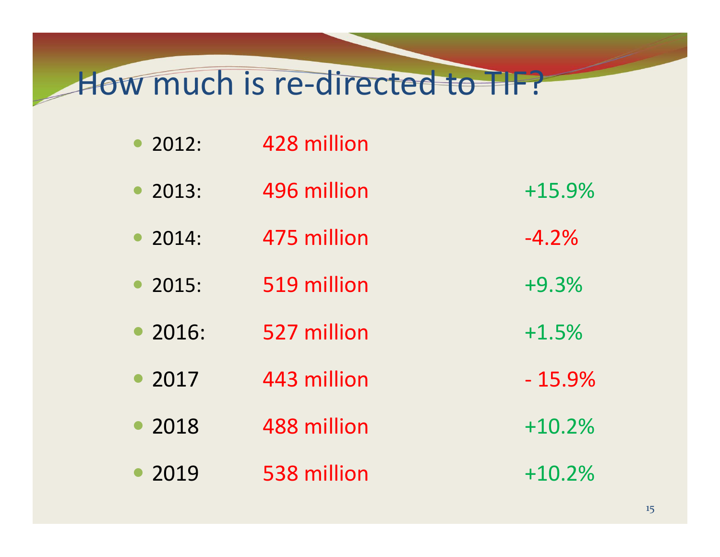### How much is re-directed to TIF?

- 2013: 496 million  $+15.9%$
- $2014:$ 2014: 475 million ‐4.2%
- 2015: 519 million  $+9.3%$
- 2016: 527 million  $+1.5%$
- 2017 2017 443 million ‐ 15.9%
- 2018 2018 488 million +10.2%
- 2019 2019 538 million +10.2%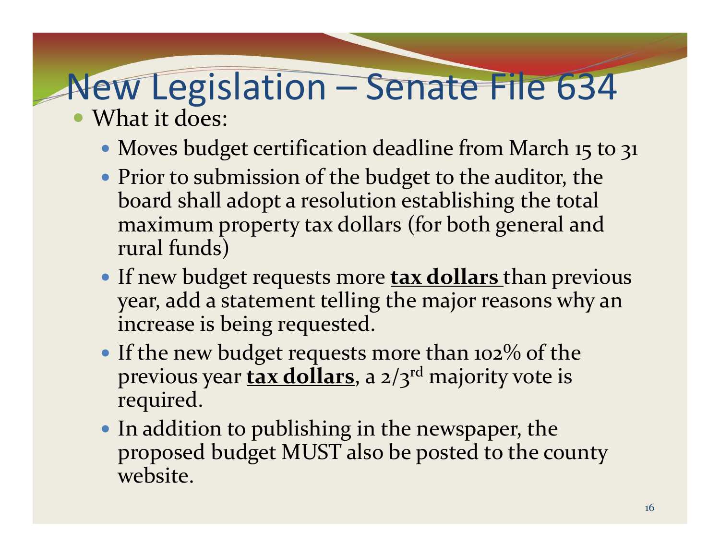# New Legislation – Senate File 634

- What it does:
	- Moves budget certification deadline from March <sup>15</sup> to 31
	- Prior to submission of the budget to the auditor, the board shall adopt a resolution establishing the total maximum property tax dollars (for both general and rural funds)
	- If new budget requests more **tax dollars** than previous year, add a statement telling the major reasons why an increase is being requested.
	- If the new budget requests more than 102% of the previous year **tax dollars**, <sup>a</sup> 2/3r<sup>d</sup> majority vote is required.
	- In addition to publishing in the newspaper, the proposed budget MUST also be posted to the county website.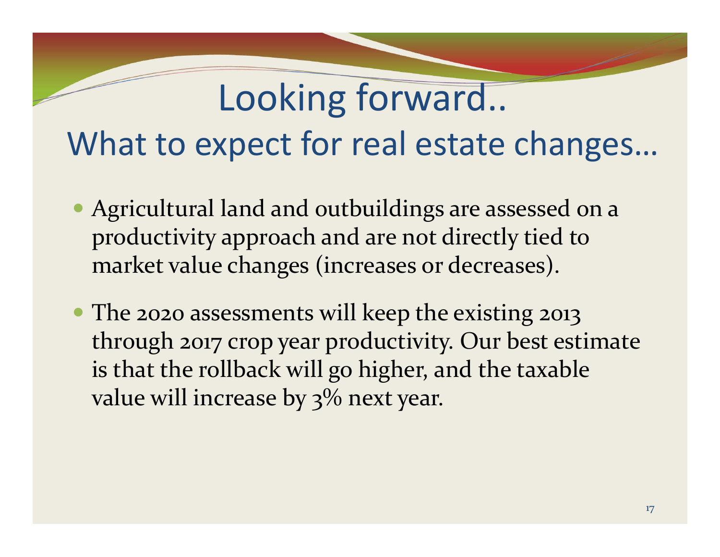# Looking forward... What to expect for real estate changes…

- Agricultural land and outbuildings are assessed on a productivity approach and are not directly tied to market value changes (increases or decreases).
- The <sup>2020</sup> assessments will keep the existing 2013 through <sup>2017</sup> crop year productivity. Our best estimate is that the rollback will go higher, and the taxable value will increase by 3% next year.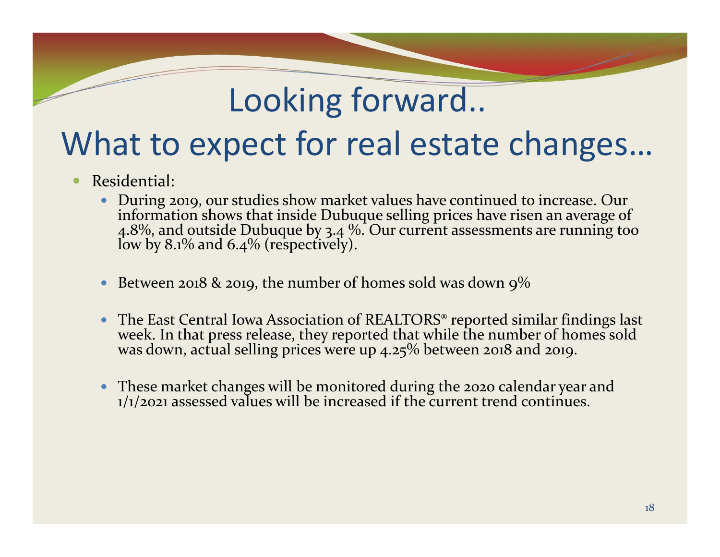## Looking forward..

## What to expect for real estate changes…

- 0 Residential:
	- $\bullet$ During 2019, our studies show market values have continued to increase. Our information shows that inside Dubuque selling prices have risen an average of  $4.8\%$ , and outside Dubuque by 3.4 %. Our current assessments are running too low by 8.1% and 6.4% (respectively).
	- $\bullet$ • Between 2018 & 2019, the number of homes sold was down  $9\%$
	- $\bullet$ The East Central Iowa Association of REALTORS<sup>®</sup> reported similar findings last The East Central Iowa Association of REALTORS® reported similar findings last<br>week. In that press release, they reported that while the number of homes sold was down, actual selling prices were up 4.25% between <sup>2018</sup> and 2019.
	- These market changes will be monitored during the <sup>2020</sup> calendar year and 1/1/2021 assessed values will be increased if the current trend continues.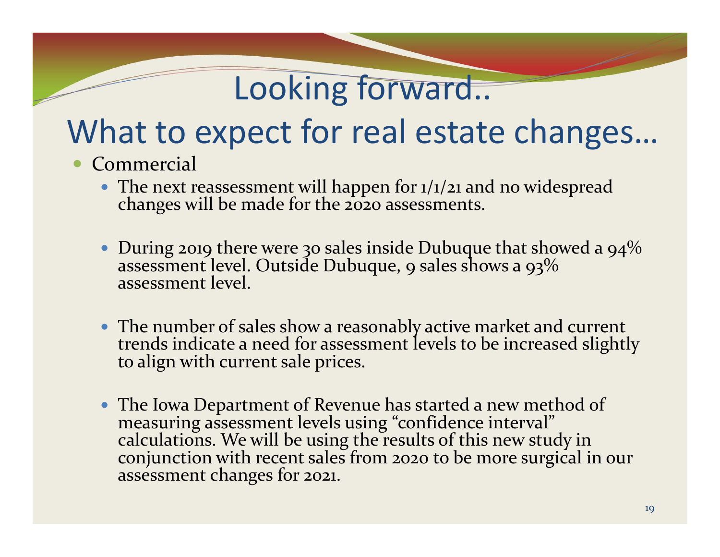## Looking forward..

## What to expect for real estate changes…

- $\bullet$ **Commercial** 
	- The next reassessment will happen for 1/1/21 and no widespread changes will be made for the <sup>2020</sup> assessments.
	- $\bullet~$  During 2019 there were 30 sales inside Dubuque that showed a 94% assessment level. Outside Dubuque, 9 sales shows a 93% assessment level.
	- The number of sales show a reasonably active market and current<br>trends indicate a need for assessment levels to be increased slight indicate a need for assessment levels to be increased slightly to align with current sale prices.
	- The Iowa Department of Revenue has started a new method of measuring assessment levels using "confidence interval" calculations. We will be using the results of this new study in conjunction with recent sales from <sup>2020</sup> to be more surgical in our assessment changes for 2021.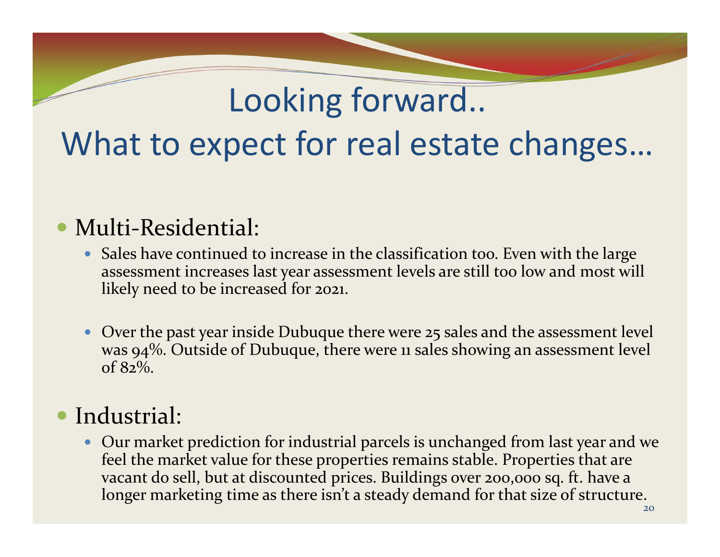# Looking forward.. What to expect for real estate changes…

#### • Multi-Residential:

- Sales have continued to increase in the classification too. Even with the large assessment increases last year assessment levels are still too low and most will likely need to be increased for 2021.
- Over the past year inside Dubuque there were 25 sales and the assessment level was 94%. Outside of Dubuque, there were <sup>11</sup> sales showing an assessment level of 82%.

#### $\bullet$ Industrial:

 Our market prediction for industrial parcels is unchanged from last year and we feel the market value for these properties remains stable. Properties that are vacant do sell, but at discounted prices. Buildings over 200,000 sq. ft. have a longer marketing time as there isn't a steady demand for that size of structure.